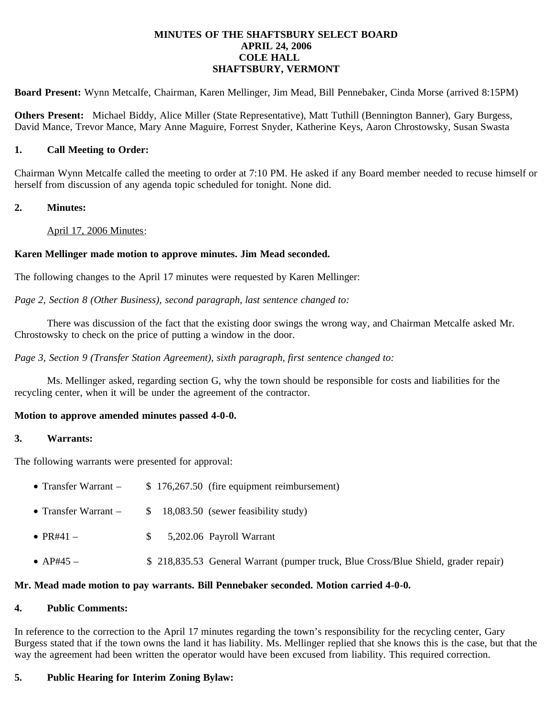#### **MINUTES OF THE SHAFTSBURY SELECT BOARD APRIL 24, 2006 COLE HALL SHAFTSBURY, VERMONT**

**Board Present:** Wynn Metcalfe, Chairman, Karen Mellinger, Jim Mead, Bill Pennebaker, Cinda Morse (arrived 8:15PM)

**Others Present:** Michael Biddy, Alice Miller (State Representative), Matt Tuthill (Bennington Banner), Gary Burgess, David Mance, Trevor Mance, Mary Anne Maguire, Forrest Snyder, Katherine Keys, Aaron Chrostowsky, Susan Swasta

### **1. Call Meeting to Order:**

Chairman Wynn Metcalfe called the meeting to order at 7:10 PM. He asked if any Board member needed to recuse himself or herself from discussion of any agenda topic scheduled for tonight. None did.

### **2. Minutes:**

April 17, 2006 Minutes:

# **Karen Mellinger made motion to approve minutes. Jim Mead seconded.**

The following changes to the April 17 minutes were requested by Karen Mellinger:

*Page 2, Section 8 (Other Business), second paragraph, last sentence changed to:*

 There was discussion of the fact that the existing door swings the wrong way, and Chairman Metcalfe asked Mr. Chrostowsky to check on the price of putting a window in the door.

*Page 3, Section 9 (Transfer Station Agreement), sixth paragraph, first sentence changed to:*

Ms. Mellinger asked, regarding section G, why the town should be responsible for costs and liabilities for the recycling center, when it will be under the agreement of the contractor.

# **Motion to approve amended minutes passed 4-0-0.**

#### **3. Warrants:**

The following warrants were presented for approval:

- Transfer Warrant  $$176,267.50$  (fire equipment reimbursement)
- Transfer Warrant  $$ 18,083.50$  (sewer feasibility study)
- PR#41  $$ 5,202.06$  Payroll Warrant
- AP#45 <br>• S 218,835.53 General Warrant (pumper truck, Blue Cross/Blue Shield, grader repair)

#### **Mr. Mead made motion to pay warrants. Bill Pennebaker seconded. Motion carried 4-0-0.**

#### **4. Public Comments:**

In reference to the correction to the April 17 minutes regarding the town's responsibility for the recycling center, Gary Burgess stated that if the town owns the land it has liability. Ms. Mellinger replied that she knows this is the case, but that the way the agreement had been written the operator would have been excused from liability. This required correction.

# **5. Public Hearing for Interim Zoning Bylaw:**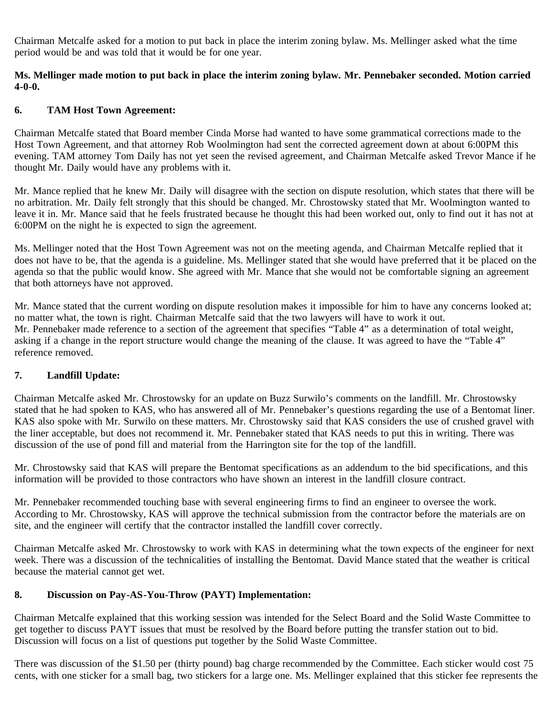Chairman Metcalfe asked for a motion to put back in place the interim zoning bylaw. Ms. Mellinger asked what the time period would be and was told that it would be for one year.

### **Ms. Mellinger made motion to put back in place the interim zoning bylaw. Mr. Pennebaker seconded. Motion carried 4-0-0.**

### **6. TAM Host Town Agreement:**

Chairman Metcalfe stated that Board member Cinda Morse had wanted to have some grammatical corrections made to the Host Town Agreement, and that attorney Rob Woolmington had sent the corrected agreement down at about 6:00PM this evening. TAM attorney Tom Daily has not yet seen the revised agreement, and Chairman Metcalfe asked Trevor Mance if he thought Mr. Daily would have any problems with it.

Mr. Mance replied that he knew Mr. Daily will disagree with the section on dispute resolution, which states that there will be no arbitration. Mr. Daily felt strongly that this should be changed. Mr. Chrostowsky stated that Mr. Woolmington wanted to leave it in. Mr. Mance said that he feels frustrated because he thought this had been worked out, only to find out it has not at 6:00PM on the night he is expected to sign the agreement.

Ms. Mellinger noted that the Host Town Agreement was not on the meeting agenda, and Chairman Metcalfe replied that it does not have to be, that the agenda is a guideline. Ms. Mellinger stated that she would have preferred that it be placed on the agenda so that the public would know. She agreed with Mr. Mance that she would not be comfortable signing an agreement that both attorneys have not approved.

Mr. Mance stated that the current wording on dispute resolution makes it impossible for him to have any concerns looked at; no matter what, the town is right. Chairman Metcalfe said that the two lawyers will have to work it out. Mr. Pennebaker made reference to a section of the agreement that specifies "Table 4" as a determination of total weight, asking if a change in the report structure would change the meaning of the clause. It was agreed to have the "Table 4" reference removed.

# **7. Landfill Update:**

Chairman Metcalfe asked Mr. Chrostowsky for an update on Buzz Surwilo's comments on the landfill. Mr. Chrostowsky stated that he had spoken to KAS, who has answered all of Mr. Pennebaker's questions regarding the use of a Bentomat liner. KAS also spoke with Mr. Surwilo on these matters. Mr. Chrostowsky said that KAS considers the use of crushed gravel with the liner acceptable, but does not recommend it. Mr. Pennebaker stated that KAS needs to put this in writing. There was discussion of the use of pond fill and material from the Harrington site for the top of the landfill.

Mr. Chrostowsky said that KAS will prepare the Bentomat specifications as an addendum to the bid specifications, and this information will be provided to those contractors who have shown an interest in the landfill closure contract.

Mr. Pennebaker recommended touching base with several engineering firms to find an engineer to oversee the work. According to Mr. Chrostowsky, KAS will approve the technical submission from the contractor before the materials are on site, and the engineer will certify that the contractor installed the landfill cover correctly.

Chairman Metcalfe asked Mr. Chrostowsky to work with KAS in determining what the town expects of the engineer for next week. There was a discussion of the technicalities of installing the Bentomat. David Mance stated that the weather is critical because the material cannot get wet.

### **8. Discussion on Pay-AS-You-Throw (PAYT) Implementation:**

Chairman Metcalfe explained that this working session was intended for the Select Board and the Solid Waste Committee to get together to discuss PAYT issues that must be resolved by the Board before putting the transfer station out to bid. Discussion will focus on a list of questions put together by the Solid Waste Committee.

There was discussion of the \$1.50 per (thirty pound) bag charge recommended by the Committee. Each sticker would cost 75 cents, with one sticker for a small bag, two stickers for a large one. Ms. Mellinger explained that this sticker fee represents the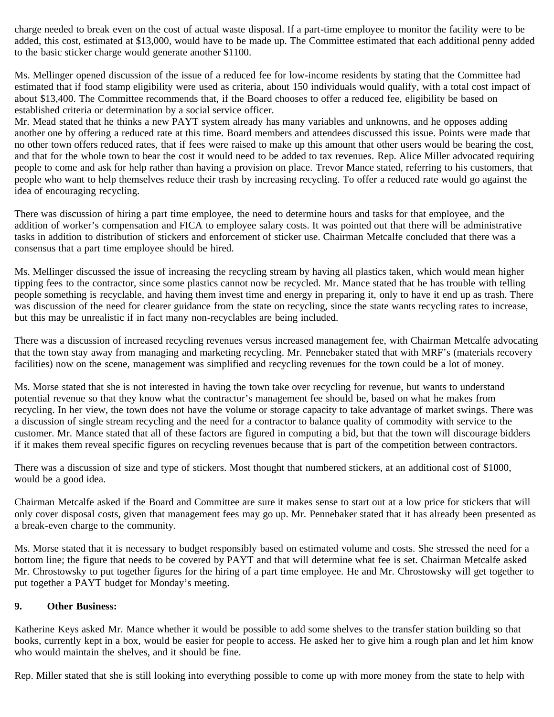charge needed to break even on the cost of actual waste disposal. If a part-time employee to monitor the facility were to be added, this cost, estimated at \$13,000, would have to be made up. The Committee estimated that each additional penny added to the basic sticker charge would generate another \$1100.

Ms. Mellinger opened discussion of the issue of a reduced fee for low-income residents by stating that the Committee had estimated that if food stamp eligibility were used as criteria, about 150 individuals would qualify, with a total cost impact of about \$13,400. The Committee recommends that, if the Board chooses to offer a reduced fee, eligibility be based on established criteria or determination by a social service officer.

Mr. Mead stated that he thinks a new PAYT system already has many variables and unknowns, and he opposes adding another one by offering a reduced rate at this time. Board members and attendees discussed this issue. Points were made that no other town offers reduced rates, that if fees were raised to make up this amount that other users would be bearing the cost, and that for the whole town to bear the cost it would need to be added to tax revenues. Rep. Alice Miller advocated requiring people to come and ask for help rather than having a provision on place. Trevor Mance stated, referring to his customers, that people who want to help themselves reduce their trash by increasing recycling. To offer a reduced rate would go against the idea of encouraging recycling.

There was discussion of hiring a part time employee, the need to determine hours and tasks for that employee, and the addition of worker's compensation and FICA to employee salary costs. It was pointed out that there will be administrative tasks in addition to distribution of stickers and enforcement of sticker use. Chairman Metcalfe concluded that there was a consensus that a part time employee should be hired.

Ms. Mellinger discussed the issue of increasing the recycling stream by having all plastics taken, which would mean higher tipping fees to the contractor, since some plastics cannot now be recycled. Mr. Mance stated that he has trouble with telling people something is recyclable, and having them invest time and energy in preparing it, only to have it end up as trash. There was discussion of the need for clearer guidance from the state on recycling, since the state wants recycling rates to increase, but this may be unrealistic if in fact many non-recyclables are being included.

There was a discussion of increased recycling revenues versus increased management fee, with Chairman Metcalfe advocating that the town stay away from managing and marketing recycling. Mr. Pennebaker stated that with MRF's (materials recovery facilities) now on the scene, management was simplified and recycling revenues for the town could be a lot of money.

Ms. Morse stated that she is not interested in having the town take over recycling for revenue, but wants to understand potential revenue so that they know what the contractor's management fee should be, based on what he makes from recycling. In her view, the town does not have the volume or storage capacity to take advantage of market swings. There was a discussion of single stream recycling and the need for a contractor to balance quality of commodity with service to the customer. Mr. Mance stated that all of these factors are figured in computing a bid, but that the town will discourage bidders if it makes them reveal specific figures on recycling revenues because that is part of the competition between contractors.

There was a discussion of size and type of stickers. Most thought that numbered stickers, at an additional cost of \$1000, would be a good idea.

Chairman Metcalfe asked if the Board and Committee are sure it makes sense to start out at a low price for stickers that will only cover disposal costs, given that management fees may go up. Mr. Pennebaker stated that it has already been presented as a break-even charge to the community.

Ms. Morse stated that it is necessary to budget responsibly based on estimated volume and costs. She stressed the need for a bottom line; the figure that needs to be covered by PAYT and that will determine what fee is set. Chairman Metcalfe asked Mr. Chrostowsky to put together figures for the hiring of a part time employee. He and Mr. Chrostowsky will get together to put together a PAYT budget for Monday's meeting.

# **9. Other Business:**

Katherine Keys asked Mr. Mance whether it would be possible to add some shelves to the transfer station building so that books, currently kept in a box, would be easier for people to access. He asked her to give him a rough plan and let him know who would maintain the shelves, and it should be fine.

Rep. Miller stated that she is still looking into everything possible to come up with more money from the state to help with